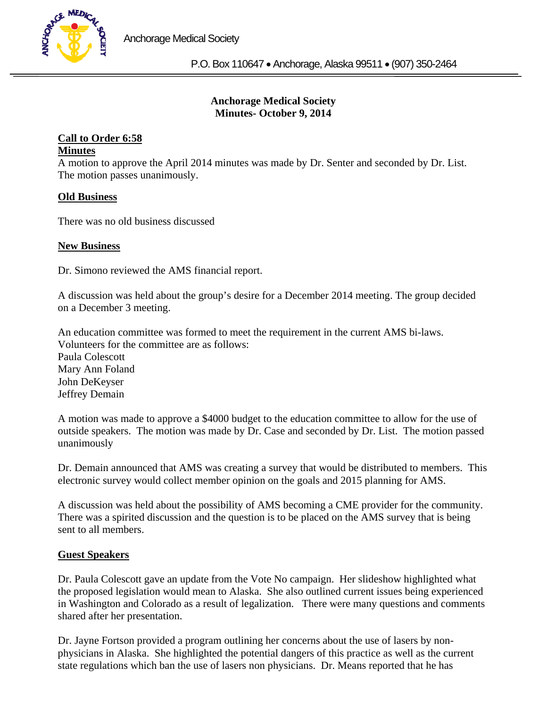

# **Anchorage Medical Society Minutes- October 9, 2014**

#### **Call to Order 6:58 Minutes**

A motion to approve the April 2014 minutes was made by Dr. Senter and seconded by Dr. List. The motion passes unanimously.

# **Old Business**

There was no old business discussed

## **New Business**

Dr. Simono reviewed the AMS financial report.

A discussion was held about the group's desire for a December 2014 meeting. The group decided on a December 3 meeting.

An education committee was formed to meet the requirement in the current AMS bi-laws. Volunteers for the committee are as follows: Paula Colescott Mary Ann Foland John DeKeyser Jeffrey Demain

A motion was made to approve a \$4000 budget to the education committee to allow for the use of outside speakers. The motion was made by Dr. Case and seconded by Dr. List. The motion passed unanimously

Dr. Demain announced that AMS was creating a survey that would be distributed to members. This electronic survey would collect member opinion on the goals and 2015 planning for AMS.

A discussion was held about the possibility of AMS becoming a CME provider for the community. There was a spirited discussion and the question is to be placed on the AMS survey that is being sent to all members.

## **Guest Speakers**

Dr. Paula Colescott gave an update from the Vote No campaign. Her slideshow highlighted what the proposed legislation would mean to Alaska. She also outlined current issues being experienced in Washington and Colorado as a result of legalization. There were many questions and comments shared after her presentation.

Dr. Jayne Fortson provided a program outlining her concerns about the use of lasers by nonphysicians in Alaska. She highlighted the potential dangers of this practice as well as the current state regulations which ban the use of lasers non physicians. Dr. Means reported that he has